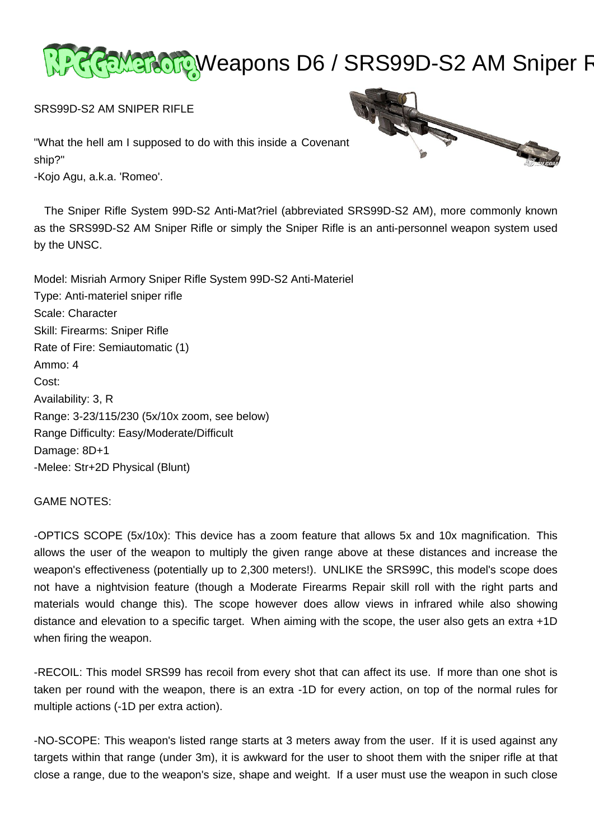

SRS99D-S2 AM SNIPER RIFLE

"What the hell am I supposed to do with this inside a Covenant ship?" -Kojo Agu, a.k.a. 'Romeo'.

 The Sniper Rifle System 99D-S2 Anti-Mat?riel (abbreviated SRS99D-S2 AM), more commonly known as the SRS99D-S2 AM Sniper Rifle or simply the Sniper Rifle is an anti-personnel weapon system used by the UNSC.



GAME NOTES:

-OPTICS SCOPE (5x/10x): This device has a zoom feature that allows 5x and 10x magnification. This allows the user of the weapon to multiply the given range above at these distances and increase the weapon's effectiveness (potentially up to 2,300 meters!). UNLIKE the SRS99C, this model's scope does not have a nightvision feature (though a Moderate Firearms Repair skill roll with the right parts and materials would change this). The scope however does allow views in infrared while also showing distance and elevation to a specific target. When aiming with the scope, the user also gets an extra +1D when firing the weapon.

-RECOIL: This model SRS99 has recoil from every shot that can affect its use. If more than one shot is taken per round with the weapon, there is an extra -1D for every action, on top of the normal rules for multiple actions (-1D per extra action).

-NO-SCOPE: This weapon's listed range starts at 3 meters away from the user. If it is used against any targets within that range (under 3m), it is awkward for the user to shoot them with the sniper rifle at that close a range, due to the weapon's size, shape and weight. If a user must use the weapon in such close

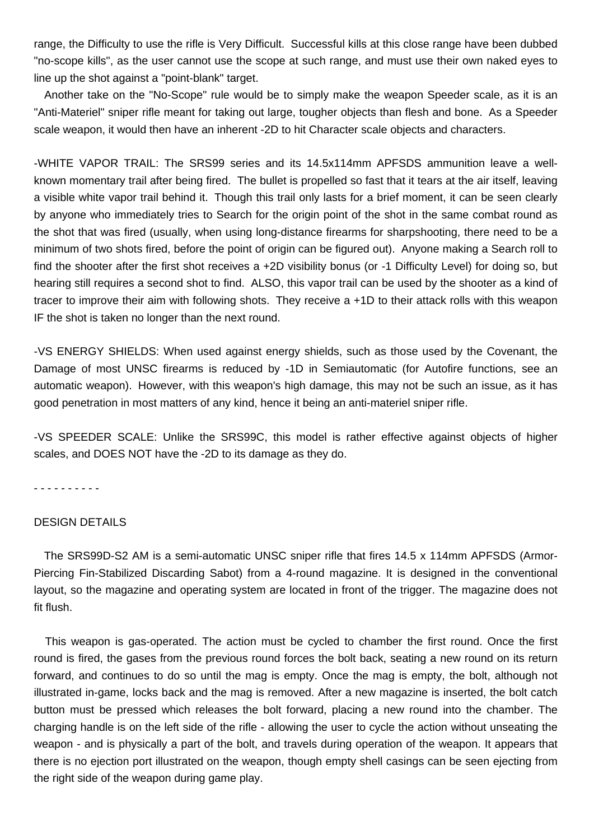range, the Difficulty to use the rifle is Very Difficult. Successful kills at this close range have been dubbed "no-scope kills", as the user cannot use the scope at such range, and must use their own naked eyes to line up the shot against a "point-blank" target.

 Another take on the "No-Scope" rule would be to simply make the weapon Speeder scale, as it is an "Anti-Materiel" sniper rifle meant for taking out large, tougher objects than flesh and bone. As a Speeder scale weapon, it would then have an inherent -2D to hit Character scale objects and characters.

-WHITE VAPOR TRAIL: The SRS99 series and its 14.5x114mm APFSDS ammunition leave a wellknown momentary trail after being fired. The bullet is propelled so fast that it tears at the air itself, leaving a visible white vapor trail behind it. Though this trail only lasts for a brief moment, it can be seen clearly by anyone who immediately tries to Search for the origin point of the shot in the same combat round as the shot that was fired (usually, when using long-distance firearms for sharpshooting, there need to be a minimum of two shots fired, before the point of origin can be figured out). Anyone making a Search roll to find the shooter after the first shot receives a +2D visibility bonus (or -1 Difficulty Level) for doing so, but hearing still requires a second shot to find. ALSO, this vapor trail can be used by the shooter as a kind of tracer to improve their aim with following shots. They receive a +1D to their attack rolls with this weapon IF the shot is taken no longer than the next round.

-VS ENERGY SHIELDS: When used against energy shields, such as those used by the Covenant, the Damage of most UNSC firearms is reduced by -1D in Semiautomatic (for Autofire functions, see an automatic weapon). However, with this weapon's high damage, this may not be such an issue, as it has good penetration in most matters of any kind, hence it being an anti-materiel sniper rifle.

-VS SPEEDER SCALE: Unlike the SRS99C, this model is rather effective against objects of higher scales, and DOES NOT have the -2D to its damage as they do.

- - - - - - - - - -

### DESIGN DETAILS

 The SRS99D-S2 AM is a semi-automatic UNSC sniper rifle that fires 14.5 x 114mm APFSDS (Armor-Piercing Fin-Stabilized Discarding Sabot) from a 4-round magazine. It is designed in the conventional layout, so the magazine and operating system are located in front of the trigger. The magazine does not fit flush.

 This weapon is gas-operated. The action must be cycled to chamber the first round. Once the first round is fired, the gases from the previous round forces the bolt back, seating a new round on its return forward, and continues to do so until the mag is empty. Once the mag is empty, the bolt, although not illustrated in-game, locks back and the mag is removed. After a new magazine is inserted, the bolt catch button must be pressed which releases the bolt forward, placing a new round into the chamber. The charging handle is on the left side of the rifle - allowing the user to cycle the action without unseating the weapon - and is physically a part of the bolt, and travels during operation of the weapon. It appears that there is no ejection port illustrated on the weapon, though empty shell casings can be seen ejecting from the right side of the weapon during game play.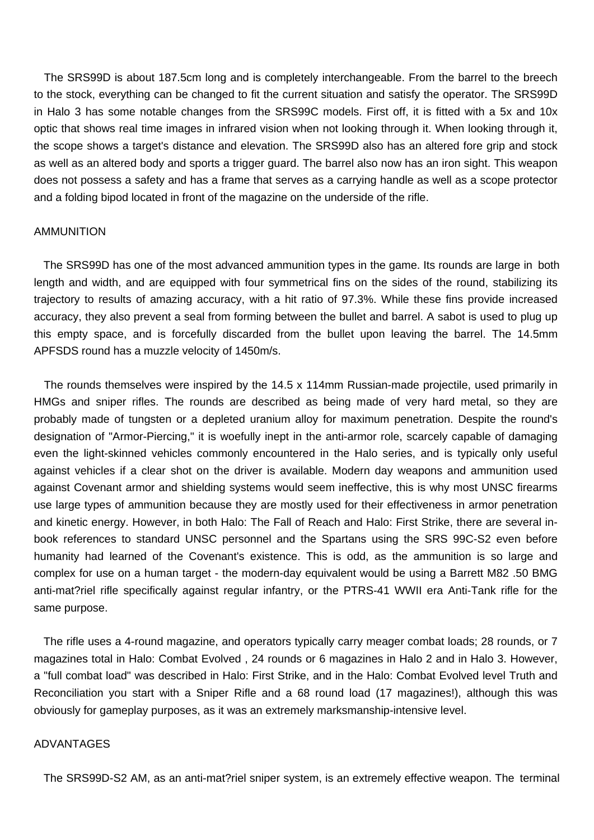The SRS99D is about 187.5cm long and is completely interchangeable. From the barrel to the breech to the stock, everything can be changed to fit the current situation and satisfy the operator. The SRS99D in Halo 3 has some notable changes from the SRS99C models. First off, it is fitted with a 5x and 10x optic that shows real time images in infrared vision when not looking through it. When looking through it, the scope shows a target's distance and elevation. The SRS99D also has an altered fore grip and stock as well as an altered body and sports a trigger guard. The barrel also now has an iron sight. This weapon does not possess a safety and has a frame that serves as a carrying handle as well as a scope protector and a folding bipod located in front of the magazine on the underside of the rifle.

#### AMMUNITION

 The SRS99D has one of the most advanced ammunition types in the game. Its rounds are large in both length and width, and are equipped with four symmetrical fins on the sides of the round, stabilizing its trajectory to results of amazing accuracy, with a hit ratio of 97.3%. While these fins provide increased accuracy, they also prevent a seal from forming between the bullet and barrel. A sabot is used to plug up this empty space, and is forcefully discarded from the bullet upon leaving the barrel. The 14.5mm APFSDS round has a muzzle velocity of 1450m/s.

 The rounds themselves were inspired by the 14.5 x 114mm Russian-made projectile, used primarily in HMGs and sniper rifles. The rounds are described as being made of very hard metal, so they are probably made of tungsten or a depleted uranium alloy for maximum penetration. Despite the round's designation of "Armor-Piercing," it is woefully inept in the anti-armor role, scarcely capable of damaging even the light-skinned vehicles commonly encountered in the Halo series, and is typically only useful against vehicles if a clear shot on the driver is available. Modern day weapons and ammunition used against Covenant armor and shielding systems would seem ineffective, this is why most UNSC firearms use large types of ammunition because they are mostly used for their effectiveness in armor penetration and kinetic energy. However, in both Halo: The Fall of Reach and Halo: First Strike, there are several inbook references to standard UNSC personnel and the Spartans using the SRS 99C-S2 even before humanity had learned of the Covenant's existence. This is odd, as the ammunition is so large and complex for use on a human target - the modern-day equivalent would be using a Barrett M82 .50 BMG anti-mat?riel rifle specifically against regular infantry, or the PTRS-41 WWII era Anti-Tank rifle for the same purpose.

 The rifle uses a 4-round magazine, and operators typically carry meager combat loads; 28 rounds, or 7 magazines total in Halo: Combat Evolved , 24 rounds or 6 magazines in Halo 2 and in Halo 3. However, a "full combat load" was described in Halo: First Strike, and in the Halo: Combat Evolved level Truth and Reconciliation you start with a Sniper Rifle and a 68 round load (17 magazines!), although this was obviously for gameplay purposes, as it was an extremely marksmanship-intensive level.

## ADVANTAGES

The SRS99D-S2 AM, as an anti-mat?riel sniper system, is an extremely effective weapon. The terminal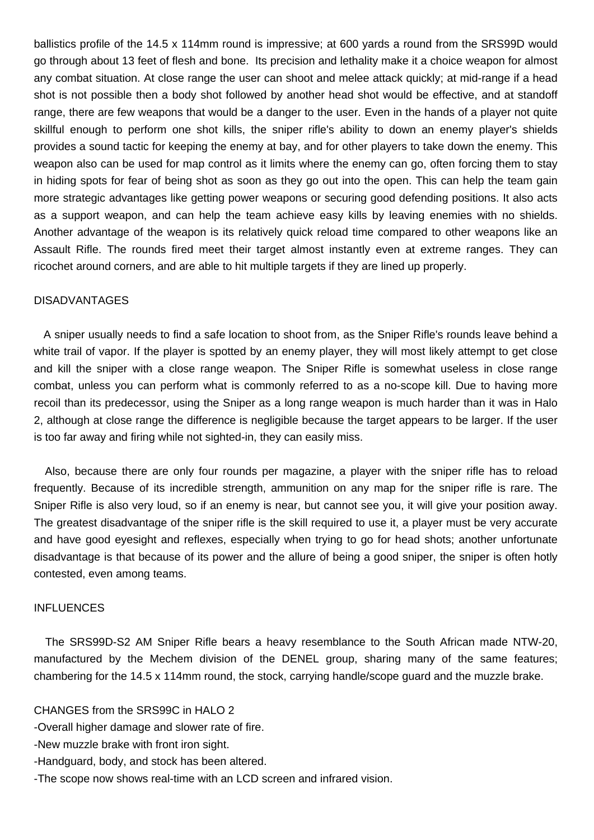ballistics profile of the 14.5 x 114mm round is impressive; at 600 yards a round from the SRS99D would go through about 13 feet of flesh and bone. Its precision and lethality make it a choice weapon for almost any combat situation. At close range the user can shoot and melee attack quickly; at mid-range if a head shot is not possible then a body shot followed by another head shot would be effective, and at standoff range, there are few weapons that would be a danger to the user. Even in the hands of a player not quite skillful enough to perform one shot kills, the sniper rifle's ability to down an enemy player's shields provides a sound tactic for keeping the enemy at bay, and for other players to take down the enemy. This weapon also can be used for map control as it limits where the enemy can go, often forcing them to stay in hiding spots for fear of being shot as soon as they go out into the open. This can help the team gain more strategic advantages like getting power weapons or securing good defending positions. It also acts as a support weapon, and can help the team achieve easy kills by leaving enemies with no shields. Another advantage of the weapon is its relatively quick reload time compared to other weapons like an Assault Rifle. The rounds fired meet their target almost instantly even at extreme ranges. They can ricochet around corners, and are able to hit multiple targets if they are lined up properly.

## DISADVANTAGES

 A sniper usually needs to find a safe location to shoot from, as the Sniper Rifle's rounds leave behind a white trail of vapor. If the player is spotted by an enemy player, they will most likely attempt to get close and kill the sniper with a close range weapon. The Sniper Rifle is somewhat useless in close range combat, unless you can perform what is commonly referred to as a no-scope kill. Due to having more recoil than its predecessor, using the Sniper as a long range weapon is much harder than it was in Halo 2, although at close range the difference is negligible because the target appears to be larger. If the user is too far away and firing while not sighted-in, they can easily miss.

 Also, because there are only four rounds per magazine, a player with the sniper rifle has to reload frequently. Because of its incredible strength, ammunition on any map for the sniper rifle is rare. The Sniper Rifle is also very loud, so if an enemy is near, but cannot see you, it will give your position away. The greatest disadvantage of the sniper rifle is the skill required to use it, a player must be very accurate and have good eyesight and reflexes, especially when trying to go for head shots; another unfortunate disadvantage is that because of its power and the allure of being a good sniper, the sniper is often hotly contested, even among teams.

#### INFLUENCES

 The SRS99D-S2 AM Sniper Rifle bears a heavy resemblance to the South African made NTW-20, manufactured by the Mechem division of the DENEL group, sharing many of the same features; chambering for the 14.5 x 114mm round, the stock, carrying handle/scope guard and the muzzle brake.

## CHANGES from the SRS99C in HALO 2

- -Overall higher damage and slower rate of fire.
- -New muzzle brake with front iron sight.
- -Handguard, body, and stock has been altered.
- -The scope now shows real-time with an LCD screen and infrared vision.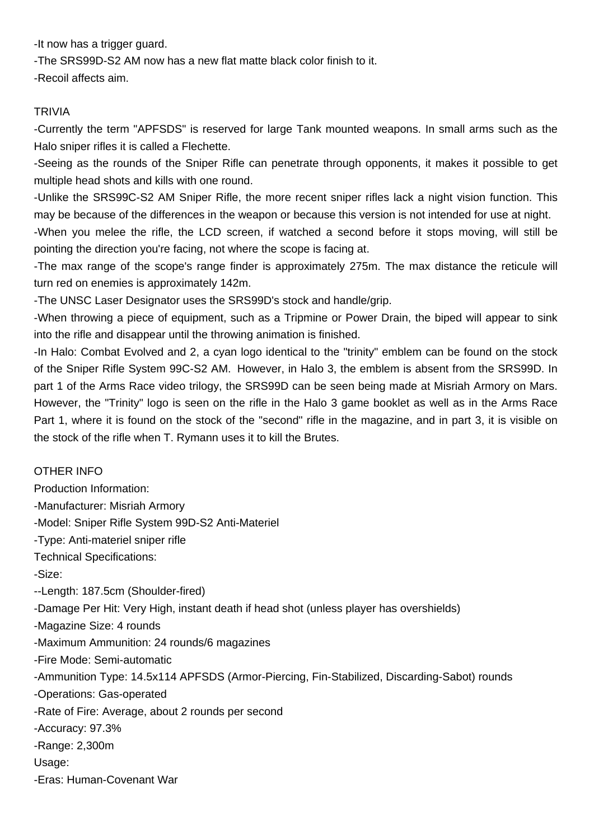-It now has a trigger guard.

-The SRS99D-S2 AM now has a new flat matte black color finish to it.

-Recoil affects aim.

# **TRIVIA**

-Currently the term "APFSDS" is reserved for large Tank mounted weapons. In small arms such as the Halo sniper rifles it is called a Flechette.

-Seeing as the rounds of the Sniper Rifle can penetrate through opponents, it makes it possible to get multiple head shots and kills with one round.

-Unlike the SRS99C-S2 AM Sniper Rifle, the more recent sniper rifles lack a night vision function. This may be because of the differences in the weapon or because this version is not intended for use at night.

-When you melee the rifle, the LCD screen, if watched a second before it stops moving, will still be pointing the direction you're facing, not where the scope is facing at.

-The max range of the scope's range finder is approximately 275m. The max distance the reticule will turn red on enemies is approximately 142m.

-The UNSC Laser Designator uses the SRS99D's stock and handle/grip.

-When throwing a piece of equipment, such as a Tripmine or Power Drain, the biped will appear to sink into the rifle and disappear until the throwing animation is finished.

-In Halo: Combat Evolved and 2, a cyan logo identical to the "trinity" emblem can be found on the stock of the Sniper Rifle System 99C-S2 AM. However, in Halo 3, the emblem is absent from the SRS99D. In part 1 of the Arms Race video trilogy, the SRS99D can be seen being made at Misriah Armory on Mars. However, the "Trinity" logo is seen on the rifle in the Halo 3 game booklet as well as in the Arms Race Part 1, where it is found on the stock of the "second" rifle in the magazine, and in part 3, it is visible on the stock of the rifle when T. Rymann uses it to kill the Brutes.

# OTHER INFO

Production Information: -Manufacturer: Misriah Armory -Model: Sniper Rifle System 99D-S2 Anti-Materiel -Type: Anti-materiel sniper rifle Technical Specifications: -Size: --Length: 187.5cm (Shoulder-fired) -Damage Per Hit: Very High, instant death if head shot (unless player has overshields) -Magazine Size: 4 rounds -Maximum Ammunition: 24 rounds/6 magazines -Fire Mode: Semi-automatic -Ammunition Type: 14.5x114 APFSDS (Armor-Piercing, Fin-Stabilized, Discarding-Sabot) rounds -Operations: Gas-operated -Rate of Fire: Average, about 2 rounds per second -Accuracy: 97.3% -Range: 2,300m Usage: -Eras: Human-Covenant War